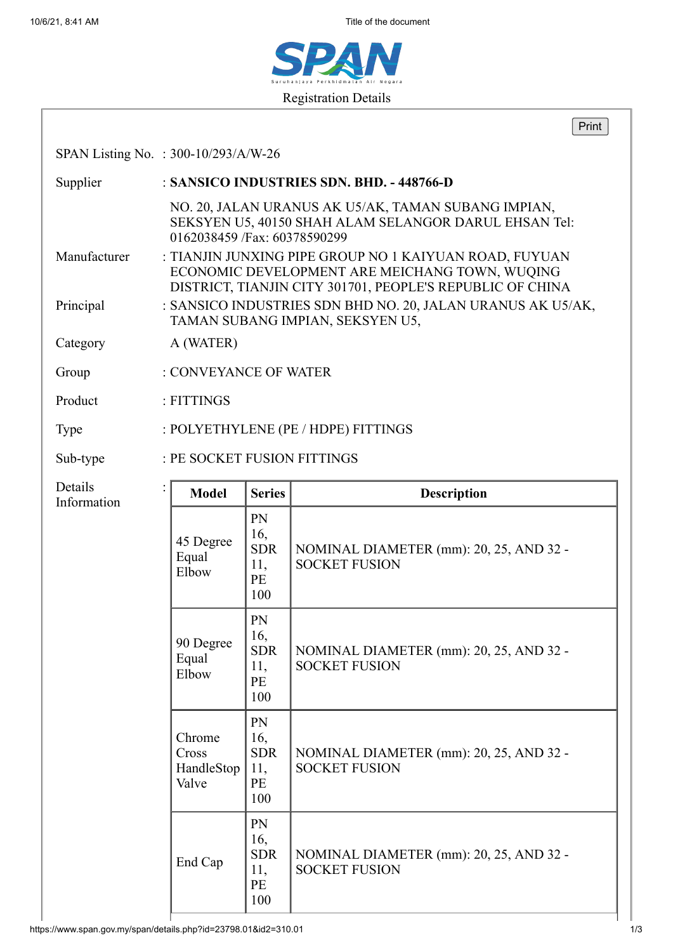10/6/21, 8:41 AM Title of the document



|                        |                                                                                                                                                                       |                                                     | Print                                                           |  |  |
|------------------------|-----------------------------------------------------------------------------------------------------------------------------------------------------------------------|-----------------------------------------------------|-----------------------------------------------------------------|--|--|
|                        | SPAN Listing No. : 300-10/293/A/W-26                                                                                                                                  |                                                     |                                                                 |  |  |
| Supplier               | : SANSICO INDUSTRIES SDN. BHD. - 448766-D                                                                                                                             |                                                     |                                                                 |  |  |
| Manufacturer           | NO. 20, JALAN URANUS AK U5/AK, TAMAN SUBANG IMPIAN,<br>SEKSYEN U5, 40150 SHAH ALAM SELANGOR DARUL EHSAN Tel:<br>0162038459 /Fax: 60378590299                          |                                                     |                                                                 |  |  |
|                        | : TIANJIN JUNXING PIPE GROUP NO 1 KAIYUAN ROAD, FUYUAN<br>ECONOMIC DEVELOPMENT ARE MEICHANG TOWN, WUQING<br>DISTRICT, TIANJIN CITY 301701, PEOPLE'S REPUBLIC OF CHINA |                                                     |                                                                 |  |  |
| Principal              | : SANSICO INDUSTRIES SDN BHD NO. 20, JALAN URANUS AK U5/AK,<br>TAMAN SUBANG IMPIAN, SEKSYEN U5,                                                                       |                                                     |                                                                 |  |  |
| Category               | A (WATER)                                                                                                                                                             |                                                     |                                                                 |  |  |
| Group                  | : CONVEYANCE OF WATER                                                                                                                                                 |                                                     |                                                                 |  |  |
| Product                | : FITTINGS                                                                                                                                                            |                                                     |                                                                 |  |  |
| Type                   | : POLYETHYLENE (PE / HDPE) FITTINGS                                                                                                                                   |                                                     |                                                                 |  |  |
| Sub-type               | : PE SOCKET FUSION FITTINGS                                                                                                                                           |                                                     |                                                                 |  |  |
| Details<br>Information | <b>Model</b>                                                                                                                                                          | <b>Series</b>                                       | <b>Description</b>                                              |  |  |
|                        | 45 Degree<br>Equal<br>Elbow                                                                                                                                           | PN<br>16,<br><b>SDR</b><br>11,<br>PE<br>100         | NOMINAL DIAMETER (mm): 20, 25, AND 32 -<br><b>SOCKET FUSION</b> |  |  |
|                        | 90 Degree<br>Equal<br>Elbow                                                                                                                                           | ${\rm PN}$<br>16,<br><b>SDR</b><br>11,<br>PE<br>100 | NOMINAL DIAMETER (mm): 20, 25, AND 32 -<br><b>SOCKET FUSION</b> |  |  |
|                        | Chrome<br>Cross<br>HandleStop<br>Valve                                                                                                                                | PN<br>16,<br><b>SDR</b><br>11,<br>PE<br>100         | NOMINAL DIAMETER (mm): 20, 25, AND 32 -<br><b>SOCKET FUSION</b> |  |  |
|                        | End Cap                                                                                                                                                               | PN<br>16,<br><b>SDR</b><br>11,<br>PE<br>100         | NOMINAL DIAMETER (mm): 20, 25, AND 32 -<br><b>SOCKET FUSION</b> |  |  |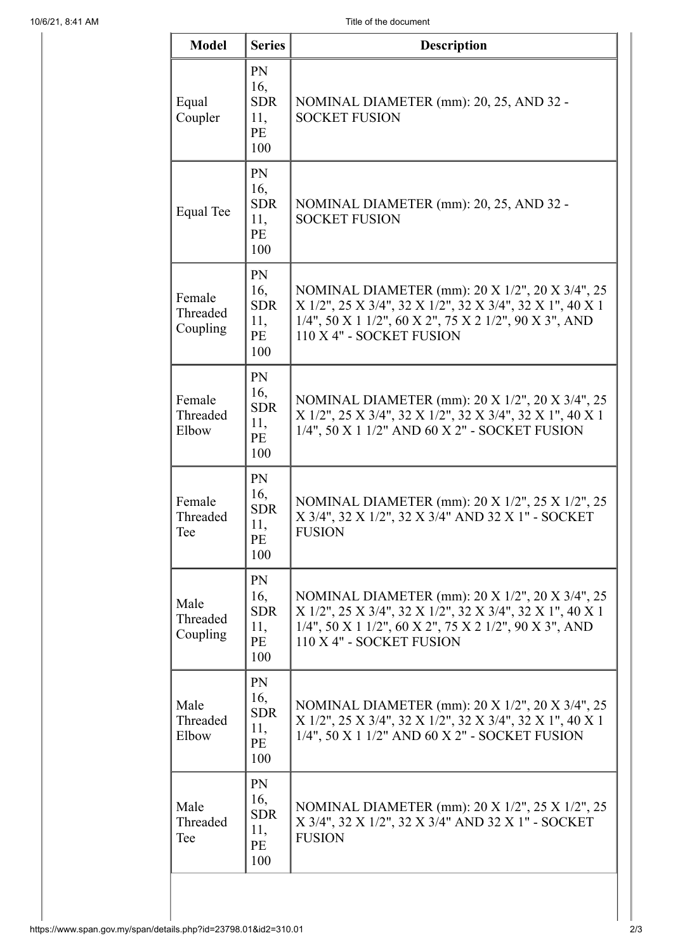| <b>Model</b>                   | <b>Series</b>                               | <b>Description</b>                                                                                                                                                                               |
|--------------------------------|---------------------------------------------|--------------------------------------------------------------------------------------------------------------------------------------------------------------------------------------------------|
| Equal<br>Coupler               | PN<br>16,<br><b>SDR</b><br>11,<br>PE<br>100 | NOMINAL DIAMETER (mm): 20, 25, AND 32 -<br><b>SOCKET FUSION</b>                                                                                                                                  |
| <b>Equal Tee</b>               | PN<br>16,<br><b>SDR</b><br>11,<br>PE<br>100 | NOMINAL DIAMETER (mm): 20, 25, AND 32 -<br><b>SOCKET FUSION</b>                                                                                                                                  |
| Female<br>Threaded<br>Coupling | PN<br>16,<br><b>SDR</b><br>11,<br>PE<br>100 | NOMINAL DIAMETER (mm): 20 X 1/2", 20 X 3/4", 25<br>X 1/2", 25 X 3/4", 32 X 1/2", 32 X 3/4", 32 X 1", 40 X 1<br>1/4", 50 X 1 1/2", 60 X 2", 75 X 2 1/2", 90 X 3", AND<br>110 X 4" - SOCKET FUSION |
| Female<br>Threaded<br>Elbow    | PN<br>16,<br><b>SDR</b><br>11,<br>PE<br>100 | NOMINAL DIAMETER (mm): 20 X 1/2", 20 X 3/4", 25<br>X 1/2", 25 X 3/4", 32 X 1/2", 32 X 3/4", 32 X 1", 40 X 1<br>1/4", 50 X 1 1/2" AND 60 X 2" - SOCKET FUSION                                     |
| Female<br>Threaded<br>Tee      | PN<br>16,<br><b>SDR</b><br>11,<br>PE<br>100 | NOMINAL DIAMETER (mm): 20 X 1/2", 25 X 1/2", 25<br>X 3/4", 32 X 1/2", 32 X 3/4" AND 32 X 1" - SOCKET<br><b>FUSION</b>                                                                            |
| Male<br>Threaded<br>Coupling   | PN<br>16,<br><b>SDR</b><br>11,<br>PE<br>100 | NOMINAL DIAMETER (mm): 20 X 1/2", 20 X 3/4", 25<br>X 1/2", 25 X 3/4", 32 X 1/2", 32 X 3/4", 32 X 1", 40 X 1<br>1/4", 50 X 1 1/2", 60 X 2", 75 X 2 1/2", 90 X 3", AND<br>110 X 4" - SOCKET FUSION |
| Male<br>Threaded<br>Elbow      | PN<br>16,<br><b>SDR</b><br>11,<br>PE<br>100 | NOMINAL DIAMETER (mm): 20 X 1/2", 20 X 3/4", 25<br>X 1/2", 25 X 3/4", 32 X 1/2", 32 X 3/4", 32 X 1", 40 X 1<br>1/4", 50 X 1 1/2" AND 60 X 2" - SOCKET FUSION                                     |
| Male<br>Threaded<br>Tee        | PN<br>16,<br><b>SDR</b><br>11,<br>PE<br>100 | NOMINAL DIAMETER (mm): 20 X 1/2", 25 X 1/2", 25<br>X 3/4", 32 X 1/2", 32 X 3/4" AND 32 X 1" - SOCKET<br><b>FUSION</b>                                                                            |